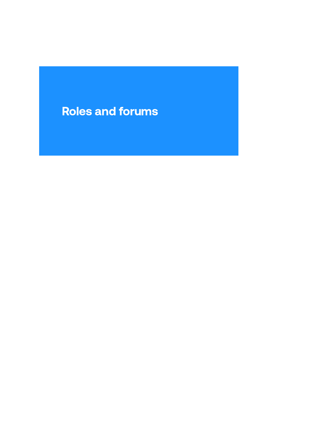## Roles and forums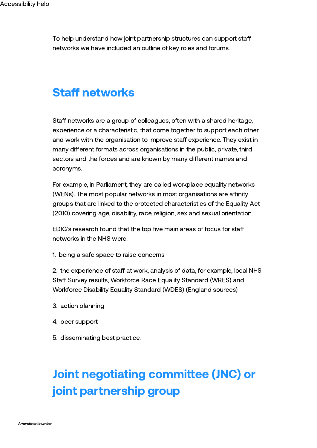To help understand how joint partnership structures can support sta networks we have included an outline of key roles and forums.

#### **Staff networks**

Staff networks are a group of colleagues, often with a shared heritage, experience or a characteristic, that come together to support each other and work with the organisation to improve staff experience. They exist in many different formats across organisations in the public, private, third sectors and the forces and are known by many different names and acronyms.

For example, in Parliament, they are called workplace equality networks (WENs). The most popular networks in most organisations are affinity groups that are linked to the protected characteristics of the Equality Act (2010) covering age, disability, race, religion, sex and sexual orientation.

EDIG's research found that the top five main areas of focus for sta networks in the NHS were:

1. being a safe space to raise concerns

2. the experience of staff at work, analysis of data, for example, local NHS Staff Survey results, Workforce Race Equality Standard (WRES) and Workforce Disability Equality Standard (WDES) (England sources)

- 3. action planning
- 4. peer support
- 5. disseminating best practice.

# Joint negotiating committee (JNC) or joint partnership group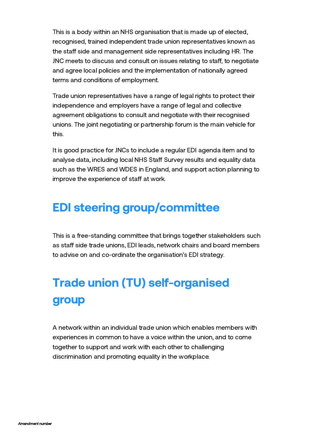This is a body within an NHS organisation that is made up of elected, recognised, trained independent trade union representatives known as the staff side and management side representatives including HR. The JNC meets to discuss and consult on issues relating to staff, to negotiate and agree local policies and the implementation of nationally agreed terms and conditions of employment.

Trade union representatives have a range of legal rights to protect their independence and employers have a range of legal and collective agreement obligations to consult and negotiate with their recognised unions. The joint negotiating or partnership forum is the main vehicle for this.

It is good practice for JNCs to include a regular EDI agenda item and to analyse data, including local NHS Staff Survey results and equality data such as the WRES and WDES in England, and support action planning to improve the experience of staff at work.

#### EDI steering group/committee

This is a free-standing committee that brings together stakeholders such as staff side trade unions, EDI leads, network chairs and board members to advise on and co-ordinate the organisation's EDI strategy.

# Trade union (TU) self-organised group

A network within an individual trade union which enables members with experiences in common to have a voice within the union, and to come together to support and work with each other to challenging discrimination and promoting equality in the workplace.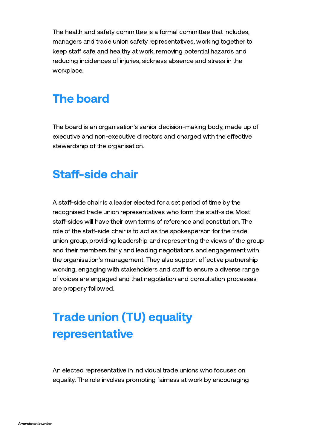The health and safety committee is a formal committee that includes, managers and trade union safety representatives, working together to keep staff safe and healthy at work, removing potential hazards and reducing incidences of injuries, sickness absence and stress in the workplace.

#### The board

The board is an organisation's senior decision-making body, made up of executive and non-executive directors and charged with the effective stewardship of the organisation.

#### **Staff-side chair**

A staff-side chair is a leader elected for a set period of time by the recognised trade union representatives who form the staff-side. Most staff-sides will have their own terms of reference and constitution. The role of the staff-side chair is to act as the spokesperson for the trade union group, providing leadership and representing the views of the group and their members fairly and leading negotiations and engagement with the organisation's management. They also support effective partnership working, engaging with stakeholders and staff to ensure a diverse range of voices are engaged and that negotiation and consultation processes are properly followed.

## Trade union (TU) equality representative

An elected representative in individual trade unions who focuses on equality. The role involves promoting fairness at work by encouraging